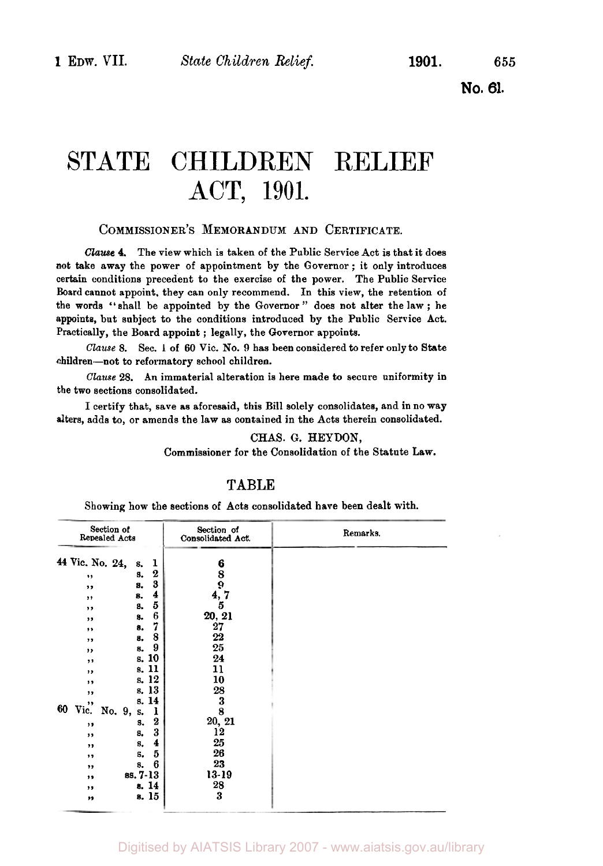**No. 61.** 

# STATE CHILDREN RELIEF ACT, 1901.

#### COMMISSIONER'S MEMORANDUM AND CERTIFICATE.

*Clause* **4.** The view which **is** taken of the Public Service Act is that it does not take away the power of appointment by the Governor ; it only introduces certain conditions precedent to the exercise of the power. The Public Service Board cannot appoint, they can only recommend. **In** this view, the retention of the words "shall be appointed by the Governor " does not alter the **law** ; he appoints, but subject to the conditions introduced by the Public Service Act. Practically, the Board appoint ; legally, the Governor appoints.

Clause **8.** Sec. I of *60* Vic. No. **9** has been considered to refer only to State children-not to reformatory school children.

Clause 28. An immaterial alteration is here made to secure uniformity in the two sections consolidated.

I certify that, save **as** aforesaid, this Bill solely consolidates, and in no way alters, adds to, or amends the law as contained in the Acts therein consolidated.

CHAS. *G.* HEYDON,

Commissioner for the Consolidation of the Statute Law.

#### **TABLE**

Showing how the sections of Acts consolidated have been dealt with.

| Section of<br>Repealed Acts                                                                                                                                                                                                                                                                                                                                                                                                              | Section of<br>Consolidated Act.                                                                                                              | Remarks. |
|------------------------------------------------------------------------------------------------------------------------------------------------------------------------------------------------------------------------------------------------------------------------------------------------------------------------------------------------------------------------------------------------------------------------------------------|----------------------------------------------------------------------------------------------------------------------------------------------|----------|
| 44 Vic. No. 24,<br>ı<br>s.<br>$\boldsymbol{2}$<br>s.<br>,,<br>3<br>s.<br>,,<br>4<br>8.<br>,,<br>5<br>s.<br>,,<br>6<br>8.<br>,,<br>7<br>8.<br>,,<br>8<br>8.<br>,,<br>9<br>8.<br>,,<br>s. 10<br>,,<br>s. 11<br>$, \,$<br>s. 12<br>,,<br>s. 13<br>,,<br>s. 14<br>,,<br>60<br>Vic.<br>No. 9,<br>ı<br>s.<br>$\boldsymbol{2}$<br>s.<br>,,<br>3<br>8.<br>,,<br>4<br>s.<br>,,<br>5<br>s.<br>,,<br>6<br>s.<br>,,<br>ss. 7-13<br>,,<br>s. 14<br>,, | $\frac{6}{8}$<br>4,7<br>5<br>20, 21<br>27<br>$22\,$<br>25<br>24<br>11<br>10<br>28<br>3<br>8<br>20, 21<br>12<br>25<br>26<br>23<br>13-19<br>28 |          |
| s. 15<br>,,                                                                                                                                                                                                                                                                                                                                                                                                                              | 3                                                                                                                                            |          |

#### Digitised by AIATSIS Library 2007 - www.aiatsis.gov.au/library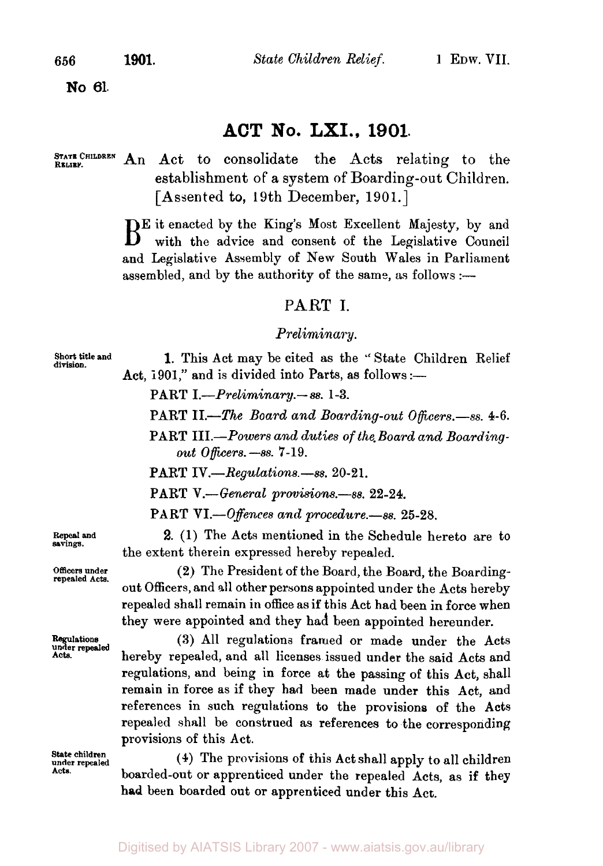**No 61.** 

### **ACT No. LXI., 1901.**

**RELIEF.** 

STATE CHILDREN An Act to consolidate the Acts relating to the establishment of a system of Boarding-out Children. [Assented to, 19th December, 1901.]

BE it enacted by the King's Most Excellent Majesty, by and with the advice and consent of the Legislative Council and Legislative Assembly of New South Wales in Parliament assembled, and by the authority of the same, as follows :-

#### **PART I.**

#### *Preliminary.*

**Short title and division.** 

**1.** This Act may be cited as the '' State Children Relief Act, 1901," and is divided into Parts, as follows :-

PART *I.-Prelirninary.-* ss. 1-3.

PART *II.-The Board and Boarding-out Officers.-ss.* **4-6.** 

PART *III.-Powers and duties of the. Board and Boardingout Officers.-ss.* 7-19.

PART *IV.-Regulations.-ss.* **20-2** 1.

PART *V.-General provisions.-ss.* **22-24.** 

PART *VI.-Offences and procedure.-ss.* **25-28.** 

**2.** (1) The Acts mentioned in the Schedule hereto are to the extent therein expressed hereby repealed.

**(2)** The President of the Board, the Board, the Boardingout Officers, and all other persons appointed under the Acts hereby repealed shall remain in office as if this Act had been in force when they were appointed and they had been appointed hereunder.

(3) All regulations framed or made under the Acts hereby repealed, and all licenses issued under the said Acts and regulations, and being in force at the passing of this Act, shall remain in force as if they had been made under this Act, and references in such regulations to the provisions of the Acts repealed shall be construed as references to the corresponding provisions of this Act.

(4) The provisions of this Act shall apply to all children boarded-out or apprenticed under the repealed Acts, as if they had been boarded out or apprenticed under this Act.

**Repeal and savings.** 

**Officers under repealed Acts.** 

*Regulations under repealed*  **Acta.** 

**State children under repealed Acts.**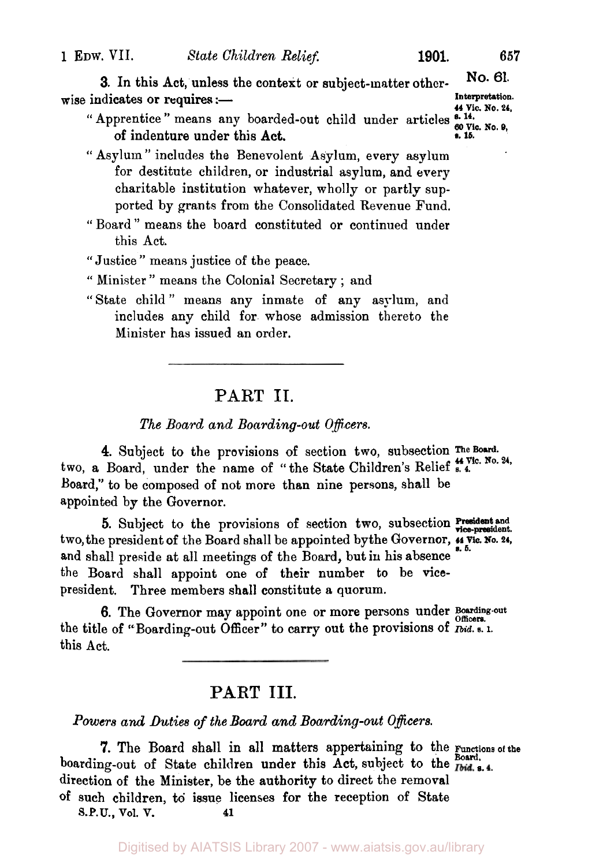**3.** In this Act, unless the context or subject-matter other- **No. 61.**  wise indicates or requires :-**44 Vie. No. 24,** 

- '' Apprentice " means any boarded-out child under articles **s. 14. 60 Vic. No. 9,**  of indenture under this Act. **e. 15.**
- " Asylum " includes the Benevolent Asylum, every asylum for destitute children, or industrial asylum, and every charitable institution whatever, wholly or partly supported by grants from the Consolidated Revenue Fund.
- " Board " means the board constituted or continued under this Act.
- " Justice " means justice *of* the peace.
- " Minister " means the Colonial Secretary ; and
- "State child" means any inmate of any asylum, and includes any child for whose admission thereto the Minister has issued an order.

#### **PART II.**

*The Board and Boarding-out Officers.* 

4. Subject to the provisions of section two, subsection The Board. two, a Board, under the name of "the State Children's Relief **s. 4.** Vic. No. 24, Board," to be composed of not more than nine persons, shall be appointed by the Governor.

two, the president **of** the Board shall be appointed by the Governor, **44 Vic. No. 24, s. 5.**  and shall preside at all meetings of the Board, but in his absence the Board shall appoint one of their number to be **vice**president. Three members shall constitute a quorum. **5.** Subject to the provisions of section two, subsection **President** and **vice-president**.

the title of "Boarding-out Officer" to carry out the provisions of *Ibid.* **s.** 1. this Act. **6.** The Governor may appoint one or more persons under Boarding-out

### **PART** III.

*Powers and Duties of the Board and* Beading-out *Officers.* 

boarding-out of State children under this Act, subject to the **Fold** s. direction of the Minister, be the authority to direct the removal **of** such children, to issue licenses for the reception of State **7.** The Board shall in all matters appertaining to the **Functions of the Board. S.P.U., Vol. V. 41**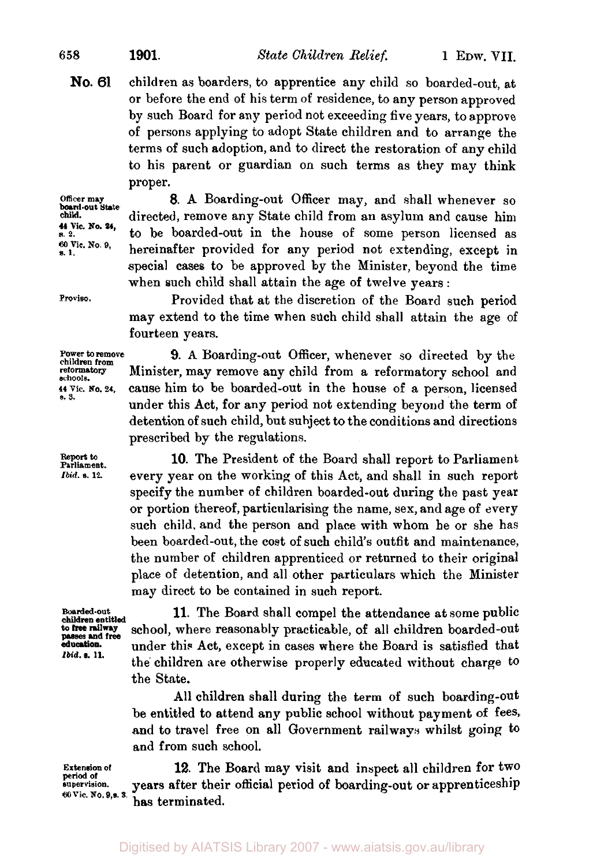*<sup>658</sup>***1901.** *State* Children Relief. 1 EDW. VII.

children as boarders, to apprentice any child so boarded-out, at or before the end of his term of residence, to any person approved by such Board for any period not exceeding five years, to approve of persons applying to adopt State children and to arrange the terms of such adoption, and to direct the restoration of any child to his parent or guardian on such terms as they may think proper. **No. 61** 

**Officer may child. s. 2.**  *60* **8. 1.** Vic. **No. 9, board-out State 44 Vic. No. 24,** 

**Proviso.** 

**Report to Parliament.**  *Ibid.* **s.12.** 

**8.** A Boarding-out Officer may, and shall whenever so directed, remove any State child from an asylum and cause him to be boarded-out in the house of some person licensed as hereinafter provided for any period not extending, except in special cases to be approved by the Minister, beyond the time when such child shall attain the age of twelve years :

Provided that at the discretion of the Board such period may extend to the time when such child shall attain the age of fourteen years.

**Power to remove 9.** A Boarding-out Officer, whenever so directed by the children from **reformatory schools. 44 Vic. No. 24,** *s.* **3.** 

Minister, may remove any child from a reformatory school and cause him to be boarded-out in the house of a person, licensed under this Act, for any period not extending beyond the term of detention of such child, but subject to the conditions and directions prescribed by the regulations.

**10.** The President of the Board shall report to Parliament every year on the working of this Act, and shall in such report specify the number of children boarded-out during the past year or portion thereof, particularising the name, sex, and age of every such child, and the person and place with whom he or she has been boarded-out, the cost of such child's outfit and maintenance, the number of children apprenticed or returned to their original place **of** detention, and all other particulars which the Minister may direct to be contained in such report.

**children entitled passes and free**  *Ibid.* **s. 11.** 

**11.** The Board shall compel the attendance at some public school, where reasonably practicable, of all children boarded-out under this Act, except in cases where the Board is satisfied that the children are otherwise properly educated without charge to the State.

All children shall during the term of such boarding-out be entitled to attend any public school without payment of fees, and to travel free on all Government railways whilst going to and from such school.

**12.** The Board may visit and inspect all children for two years after their official period of boarding-out or apprenticeship has terminated. **Extension of period Of supervision.**  *60* **Vic. No. 9,s. S.**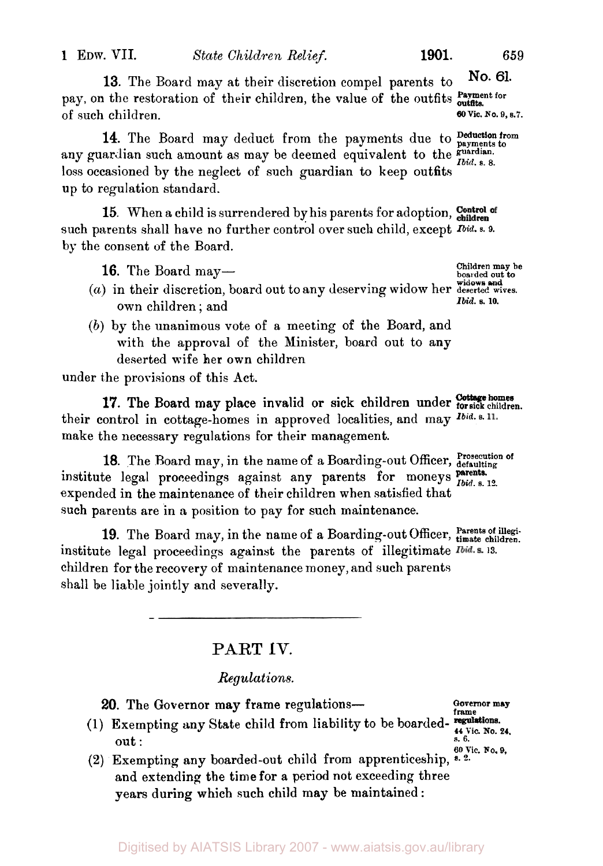**13.** The Board may at their discretion compel parents to **No. 61. Payment for**  pay, on the restoration of their children, the value **of** the outfits **outfits.**  of such children.

14. The Board may deduct from the payments due to **Deduction** from **guardian.**  *Ibid.* **s. 8. 14.** The Board may deduct from the payments due to **payments** to any guardian such amount as may be deemed equivalent to the loss occasioned by the neglect **of** such guardian to keep outfits up to regulation standard.

15. When a child is surrendered by his parents for adoption, Control of such parents shall have no further control over such child, except *Ibid.* **s. 9. by** the consent **of** the Board.

16. The Board may-

- *(a)* in their discretion, board out to any deserving widow her **deserted wives.**  own children ; and
- *(b)* by the unanimous vote of a meeting of the Board, and with the approval of the Minister, board out to any deserted wife her own children

under the provisions **of** this Act.

their control in cottage-homes in approved localities, and may *Ibid.* s. 11. make the necessary regulations for their management. **Cottage homes 17.** The Board may place invalid or sick children under **for sick children.** 

18. The Board may, in the name of a Boarding-out Officer, Prosecution of **parents.** institute legal proceedings against any parents for moneys *Ibid.* **s. 12.**  expended in the maintenance of their children when satisfied that such parents are in a position to pay for such maintenance.

19. The Board may, in the name of a Boarding-out Officer, Parents of illegiinstitute legal proceedings against the parents of illegitimate *Ibid.* s. 13. children for the recovery of maintenance money, and such parents shall be liable jointly and severally.

### **PART IV.**

#### *Regulations.*

20. The Governor may frame regulations-

- **20.** The Governor may frame regulations—<br>
(1) Exempting any State child from liability to be boarded-<br>
out :<br>  $\frac{44 \text{ Vic. No. 24}}{8.6 \text{ Vic. No. 24}}$
- **60 Vic. No. S, (2)** Exempting any boarded-out child from apprenticeship, *s. 2.*  and extending the time for a period not exceeding three years during which such child may be maintained :

**boarded out to widows and**  *Ibid.* **s. 10.** 

**s. 6.** 

**Children may be** 

**60 Vic. No. 9, s.7.**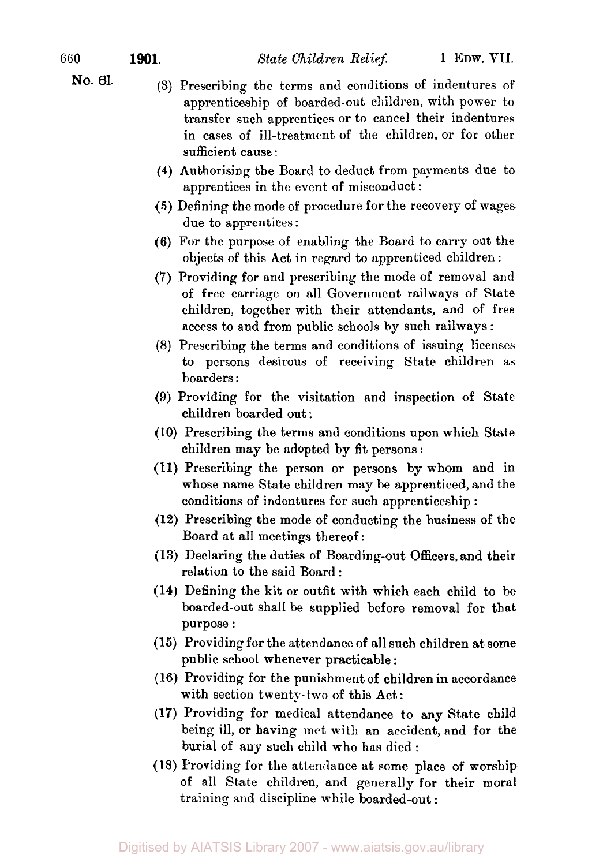- **No. 61.** (3) Prescribing the terms and conditions of indentures of apprenticeship of boarded-out children, with power to transfer such apprentices or to cancel their indentures in cases of ill-treatment of the children, or for other sufficient cause :
	- **(4)** Authorising the Board to deduct from payments due to apprentices in the event of misconduct :
	- *(5)* Defining the mode of procedure for the recovery of wages due to apprentices :
	- (6) For the purpose of enabling the Board to carry out the objects of this Act in regard to apprenticed children :
	- (7) Providing for and prescribing the mode of removal and of free carriage on all Government railways of State children, together with their attendants, and of free access to and from public schools by such railways :
	- *(8)* Prescribing the terms and conditions of issuing licenses to persons desirous of receiving State children **as**  boarders :
	- **(9)** Providing for the visitation and inspection of State children boarded out :
	- (10) Prescribing the terms and conditions upon which State children may be adopted by fit persons :
	- (11) Prescribing the person or persons by whom and in whose name State children may be apprenticed, and the conditions of indentures for such apprenticeship :
	- (12) Prescribing the mode of conducting the business of the Board at all meetings thereof:
	- **(13)** Declaring the duties of Boarding-out Officers, and their relation to the said Board :
	- **(14)** Defining the kit or outfit with which each child to be boarded-out shall be supplied before removal for that purpose :
	- (15) Providing for the attendance of all such children at some public school whenever practicable :
	- (16) Providing for the punishment of children in accordance with section twenty-two of this Act:
	- (17) Providing for medical attendance to any State child being ill, or having met with an accident, and for the burial of any such child who has died :
	- (18) Providing for the attendance at some place of worship of all State children, and generally for their moral training and discipline while boarded-out :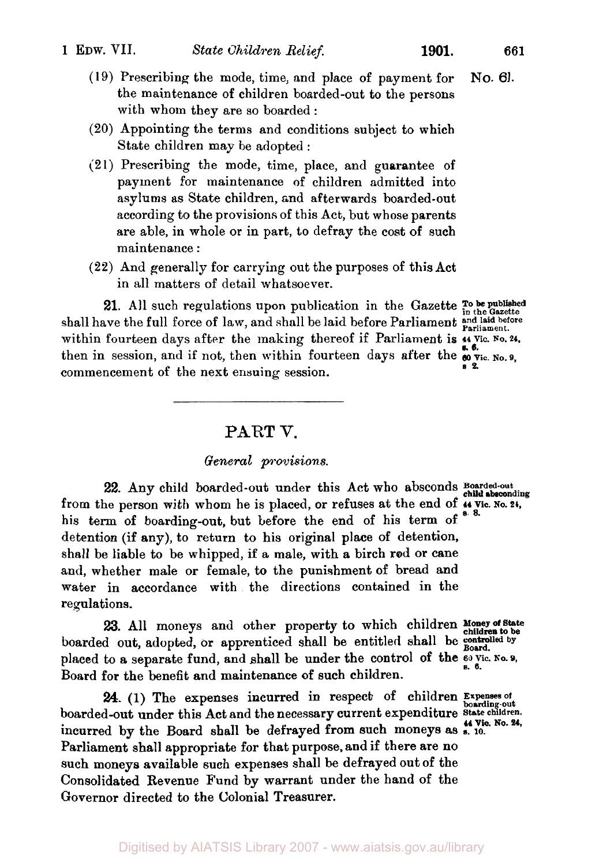**No. 61.** 

(19) Prescribing the mode, time, and place of payment for the maintenance of children boarded-out to the persons with whom they are so boarded :

- (20) Appointing the terms and conditions subject to which State children may be adopted :
- (21) Prescribing the mode, time, place, and guarantee of payment for maintenance of children admitted into asylums as State children, and afterwards boarded-out according to the provisions of this Act, but whose parents are able, in whole or in part, to defray the cost of such maintenance :
- (22) And generally for carrying out the purposes of this Act in all matters of detail whatsoever.

**21.** All such regulations upon publication in the Gazette **To be published** shall have the full force of law, and shall be laid before Parliament and laid before Parliament. within fourteen days after the making thereof if Parliament is  $\mu$  Vic. <sup>No. 24</sup>, then in session, and if not, then within fourteen days after the  $\frac{3.6}{60}$  Vic. No. 9, commencement of the next ensuing session. **s 2.** 

#### **PART V.**

#### *General provisions.*

**22.** Any child boarded-out under this Act who absconds **Boarded-out child absconding**  from the person with whom he is placed, or refuses at the end of  $\frac{44 \text{ V} \text{ic. No. 24}}{8 \cdot 8}$ his term of boarding-out, but before the end of his term of detention (if any), to return to his original place of detention, shall be liable to be whipped, if a male, with a birch rod or cane and, whether male or female, to the punishment of bread and water in accordance with the directions contained in the regulations.

23. All moneys and other property to which children *aloney of bother*<br>d out adopted or apprenticed shall be entitled shall be controlled by boarded out, adopted, or apprenticed shall be entitled shall be **Board.**  placed to a separate fund, and shall be under the control of the  $60$  Yic. No. 9, Board for the benefit and maintenance of such children.

*24.* (1) The expenses incurred in respect of children **Expenses of boarding-out**  boarded-out under this Act and the necessary current expenditure **State children.**  incurred by the Board shall be defrayed from such moneys as **s. 10. <sup>44</sup>**Vic. **No.** *24,*  Parliament shall appropriate for that purpose. and if there are no such moneys available such expenses shall be defrayed out of the Consolidated Revenue Fund by warrant under the hand of the Governor directed to the Colonial Treasurer.

**Money of State**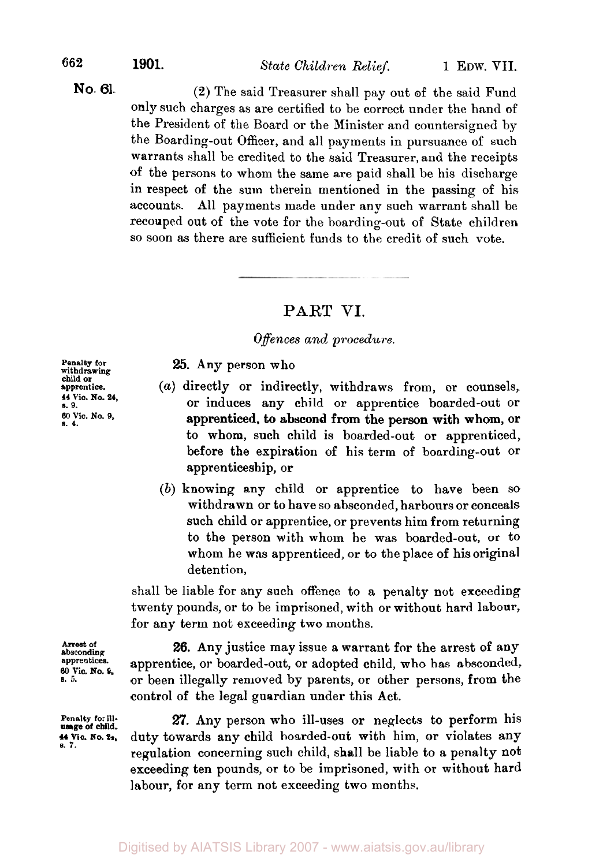*<sup>662</sup>***1901.** *State Children Relief.* 1 EDW. VII.

#### **No. 61.**

(2) The said Treasurer shall pay out of the said Fund only such charges as are certified to be correct under the hand of the President of the Board or the Minister and countersigned by the Boarding-out Officer, and all payments in pursuance of such warrants shall be credited to the said Treasurer, and the receipts of the persons to whom the same are paid shall be his discharge in respect of the sum therein mentioned in the passing of his accounts. All payments made under any such warrant shall be recouped out of the vote for the boarding-out of State children so soon as there are sufficient funds to the credit of such vote.

### **PART** VI.

#### *Offences and procedure.*

**25.** Any person who

- **apprentice.** (a) directly or indirectly, withdraws from, or counsels, **19. Produces** any child or apprentice boarded-out or <sup>60</sup>**s. 4. Vic. No. 9,** apprenticed, to abscond from the person with whom, or to whom, such child is boarded-out or apprenticed, before the expiration of his term of boarding-out or apprenticeship, or
	- (b) knowing any child or apprentice to have been SO withdrawn or to have so absconded, harbours or conceals such child or apprentice, or prevents him from returning to the person with whom he was boarded-out, or to whom he **was** apprenticed, or to the place of his original detention,

shall be liable for any such offence to a penalty not exceeding twenty pounds, or to be imprisoned, with or without hard labour, for any term not exceeding two months.

**absconding Arrest of apprentices. s. 5. 60 Vic. No. 9,** 

**Penalty for ill-usage of child. 44 Vic. NO. 24.**  *s.* **7.** 

**26.** Any justice may issue a warrant for the arrest of any apprentice, or boarded-out, or adopted child, who has absconded, or been illegally removed by parents, or other persons, from the control of the legal guardian under this Act.

*27.* Any person who ill-uses or neglects to perform his duty towards any child hoarded-out with him, or violates any regulation concerning such child, shall be liable to a penalty not exceeding ten pounds, or to be imprisoned, with or without hard labour, for any term not exceeding two months.

**withdrawing Penalty for child or 44 Vic. No. 24,**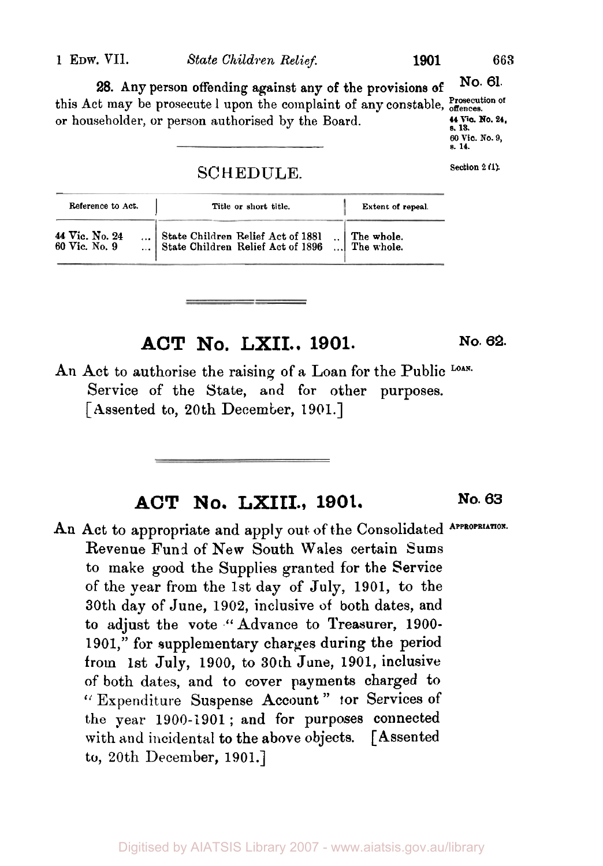#### **1 EDW. VII.** *State Children Relief.* **1901 663**

No. **61.**  this Act may be prosecute l upon the complaint of any constable, offences. or householder, or person authorised by the Board. **28.** Any person offending against any of the provisions **of 44 Vic. No. 24, s. 13.** 

SCHEDULE. Section 2 (1).

| Reference to Act.               | Title or short title.                                                  | Extent of repeal.                                                  |
|---------------------------------|------------------------------------------------------------------------|--------------------------------------------------------------------|
| 44 Vic. No. 24<br>60 Vic. No. 9 | State Children Relief Act of 1881<br>State Children Relief Act of 1896 | $\begin{array}{c} \therefore \\ \therefore \end{array}$ The whole. |

## **ACT No, LXII.. 1901. No. 62.**

An Act to authorise the raising of a Loan for the Public Loan. Service of the State, and for other purposes. [Assented to, 20th December, 1901.]

### **ACT No. LXIII., 1901. No. 63**

An Act to appropriate and apply out of the Consolidated APPROPRIATION. Revenue Fund of **New** South Wales certain Sums to make **good** the Supplies granted for the Service of the year from the 1st day of July, 1901, to the 30th day of June, 1902, inclusive **of** both dates, and to adjust the vote "Advance to Treasurer, 1900- 1901," for supplementary charges during **the** period **from** 1st July, 1900, to **30th** June, 1901, inclusive of both dates, and to cover payments charged to " Expenditure Suspense Account" tor Services of the year 1900-1901 ; and for purposes connected with and incidental to the above objects. [Assented **to,** 20th December, 1901.]

*<sup>60</sup>***Vic. No. 9, s. 14.**